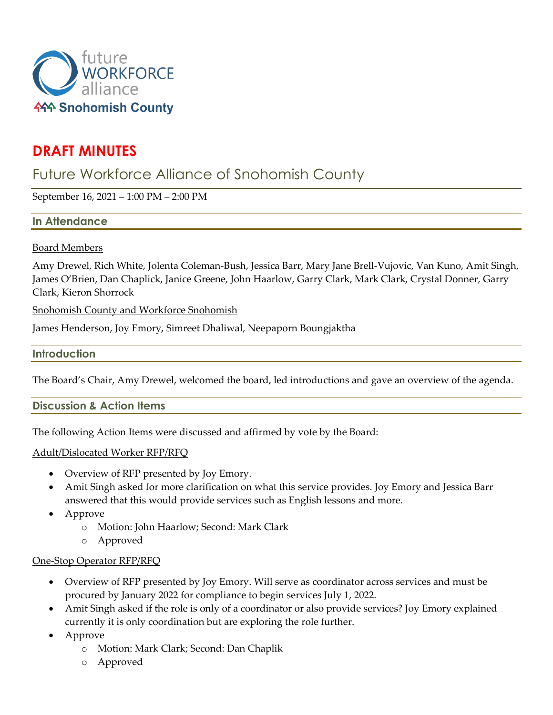

# **DRAFT MINUTES**

# Future Workforce Alliance of Snohomish County

September 16, 2021 – 1:00 PM – 2:00 PM

## **In Attendance**

#### Board Members

Amy Drewel, Rich White, Jolenta Coleman-Bush, Jessica Barr, Mary Jane Brell-Vujovic, Van Kuno, Amit Singh, James O'Brien, Dan Chaplick, Janice Greene, John Haarlow, Garry Clark, Mark Clark, Crystal Donner, Garry Clark, Kieron Shorrock

Snohomish County and Workforce Snohomish

James Henderson, Joy Emory, Simreet Dhaliwal, Neepaporn Boungjaktha

#### **Introduction**

The Board's Chair, Amy Drewel, welcomed the board, led introductions and gave an overview of the agenda.

## **Discussion & Action Items**

The following Action Items were discussed and affirmed by vote by the Board:

#### Adult/Dislocated Worker RFP/RFQ

- Overview of RFP presented by Joy Emory.
- Amit Singh asked for more clarification on what this service provides. Joy Emory and Jessica Barr answered that this would provide services such as English lessons and more.
- Approve
	- o Motion: John Haarlow; Second: Mark Clark
	- o Approved

#### One-Stop Operator RFP/RFQ

- Overview of RFP presented by Joy Emory. Will serve as coordinator across services and must be procured by January 2022 for compliance to begin services July 1, 2022.
- Amit Singh asked if the role is only of a coordinator or also provide services? Joy Emory explained currently it is only coordination but are exploring the role further.
- Approve
	- o Motion: Mark Clark; Second: Dan Chaplik
	- o Approved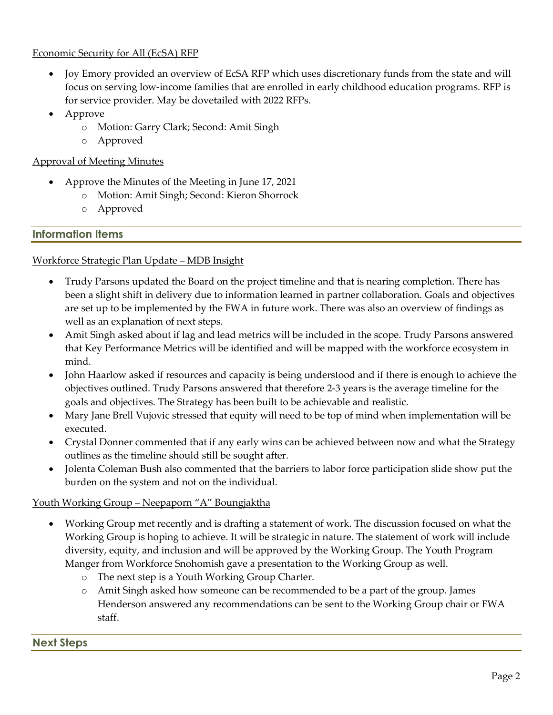#### Economic Security for All (EcSA) RFP

- Joy Emory provided an overview of EcSA RFP which uses discretionary funds from the state and will focus on serving low-income families that are enrolled in early childhood education programs. RFP is for service provider. May be dovetailed with 2022 RFPs.
- Approve
	- o Motion: Garry Clark; Second: Amit Singh
	- o Approved

## Approval of Meeting Minutes

- Approve the Minutes of the Meeting in June 17, 2021
	- o Motion: Amit Singh; Second: Kieron Shorrock
		- o Approved

## **Information Items**

## Workforce Strategic Plan Update – MDB Insight

- Trudy Parsons updated the Board on the project timeline and that is nearing completion. There has been a slight shift in delivery due to information learned in partner collaboration. Goals and objectives are set up to be implemented by the FWA in future work. There was also an overview of findings as well as an explanation of next steps.
- Amit Singh asked about if lag and lead metrics will be included in the scope. Trudy Parsons answered that Key Performance Metrics will be identified and will be mapped with the workforce ecosystem in mind.
- John Haarlow asked if resources and capacity is being understood and if there is enough to achieve the objectives outlined. Trudy Parsons answered that therefore 2-3 years is the average timeline for the goals and objectives. The Strategy has been built to be achievable and realistic.
- Mary Jane Brell Vujovic stressed that equity will need to be top of mind when implementation will be executed.
- Crystal Donner commented that if any early wins can be achieved between now and what the Strategy outlines as the timeline should still be sought after.
- Jolenta Coleman Bush also commented that the barriers to labor force participation slide show put the burden on the system and not on the individual.

## Youth Working Group – Neepaporn "A" Boungjaktha

- Working Group met recently and is drafting a statement of work. The discussion focused on what the Working Group is hoping to achieve. It will be strategic in nature. The statement of work will include diversity, equity, and inclusion and will be approved by the Working Group. The Youth Program Manger from Workforce Snohomish gave a presentation to the Working Group as well.
	- o The next step is a Youth Working Group Charter.
	- o Amit Singh asked how someone can be recommended to be a part of the group. James Henderson answered any recommendations can be sent to the Working Group chair or FWA staff.